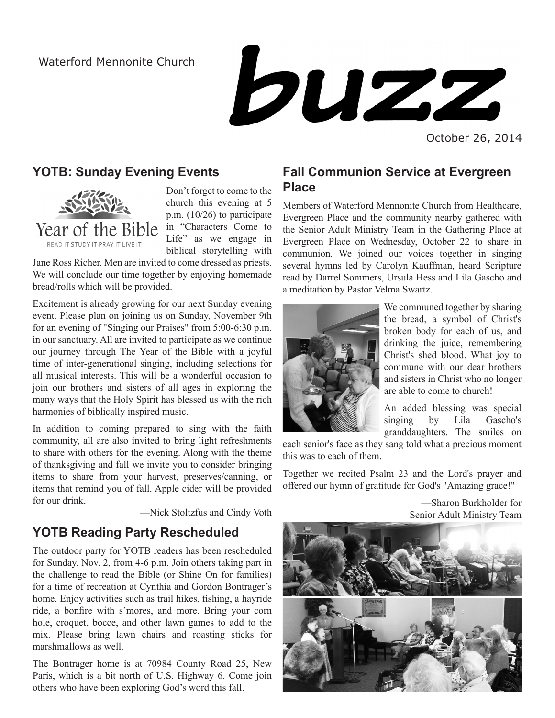

October 26, 2014

### **YOTB: Sunday Evening Events**



Don't forget to come to the church this evening at 5 p.m. (10/26) to participate Life" as we engage in biblical storytelling with

Jane Ross Richer. Men are invited to come dressed as priests. We will conclude our time together by enjoying homemade bread/rolls which will be provided.

Excitement is already growing for our next Sunday evening event. Please plan on joining us on Sunday, November 9th for an evening of "Singing our Praises" from 5:00-6:30 p.m. in our sanctuary. All are invited to participate as we continue our journey through The Year of the Bible with a joyful time of inter-generational singing, including selections for all musical interests. This will be a wonderful occasion to join our brothers and sisters of all ages in exploring the many ways that the Holy Spirit has blessed us with the rich harmonies of biblically inspired music.

In addition to coming prepared to sing with the faith community, all are also invited to bring light refreshments to share with others for the evening. Along with the theme of thanksgiving and fall we invite you to consider bringing items to share from your harvest, preserves/canning, or items that remind you of fall. Apple cider will be provided for our drink.

—Nick Stoltzfus and Cindy Voth

# **YOTB Reading Party Rescheduled**

The outdoor party for YOTB readers has been rescheduled for Sunday, Nov. 2, from 4-6 p.m. Join others taking part in the challenge to read the Bible (or Shine On for families) for a time of recreation at Cynthia and Gordon Bontrager's home. Enjoy activities such as trail hikes, fishing, a hayride ride, a bonfire with s'mores, and more. Bring your corn hole, croquet, bocce, and other lawn games to add to the mix. Please bring lawn chairs and roasting sticks for marshmallows as well.

The Bontrager home is at 70984 County Road 25, New Paris, which is a bit north of U.S. Highway 6. Come join others who have been exploring God's word this fall.

## **Fall Communion Service at Evergreen Place**

Members of Waterford Mennonite Church from Healthcare, Evergreen Place and the community nearby gathered with the Senior Adult Ministry Team in the Gathering Place at Evergreen Place on Wednesday, October 22 to share in communion. We joined our voices together in singing several hymns led by Carolyn Kauffman, heard Scripture read by Darrel Sommers, Ursula Hess and Lila Gascho and a meditation by Pastor Velma Swartz.



We communed together by sharing the bread, a symbol of Christ's broken body for each of us, and drinking the juice, remembering Christ's shed blood. What joy to commune with our dear brothers and sisters in Christ who no longer are able to come to church!

An added blessing was special singing by Lila Gascho's granddaughters. The smiles on

each senior's face as they sang told what a precious moment this was to each of them.

Together we recited Psalm 23 and the Lord's prayer and offered our hymn of gratitude for God's "Amazing grace!"

> —Sharon Burkholder for Senior Adult Ministry Team